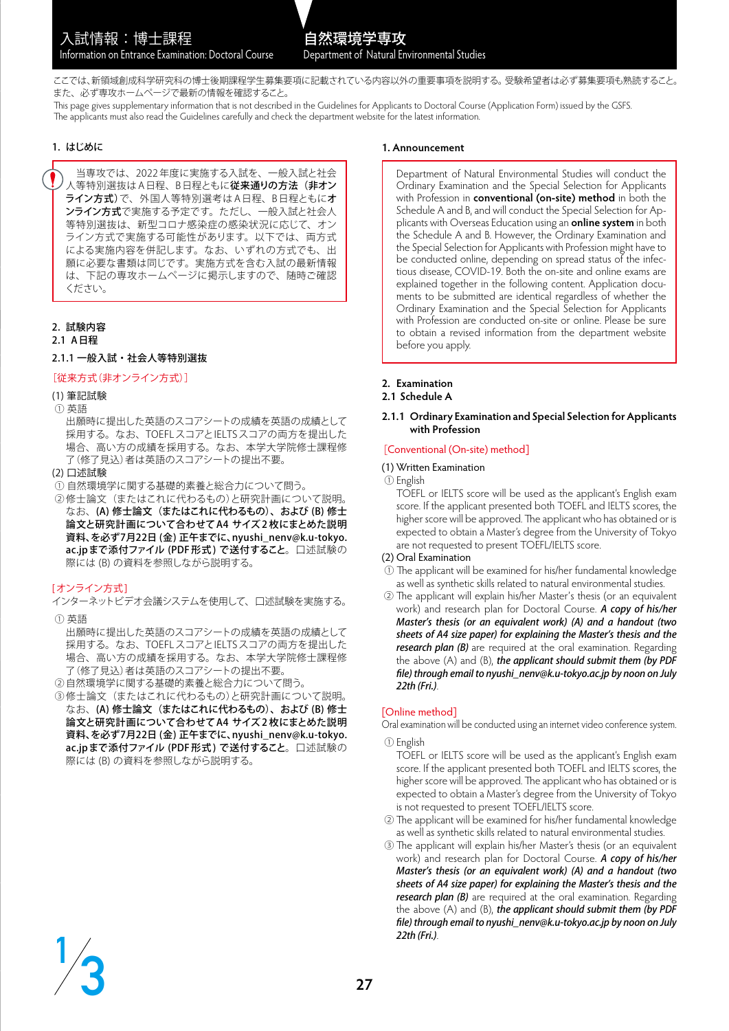ここでは、新領域創成科学研究科の博士後期課程学生募集要項に記載されている内容以外の重要事項を説明する。受験希望者は必ず募集要項も熟読すること。 また、必ず専攻ホームページで最新の情報を確認すること。

This page gives supplementary information that is not described in the Guidelines for Applicants to Doctoral Course (Application Form) issued by the GSFS. The applicants must also read the Guidelines carefully and check the department website for the latest information.

## 1. はじめに

 当専攻では、2022 年度に実施する入試を、一般入試と社会 人等特別選抜はA日程、B日程ともに**従来通りの方法(非オン** ライン方式)で、外国人等特別選考は A 日程、B 日程ともにオ ンライン方式で実施する予定です。ただし、一般入試と社会人 等特別選抜は、新型コロナ感染症の感染状況に応じて、オン ライン方式で実施する可能性があります。以下では、両方式 による実施内容を併記します。なお、いずれの方式でも、出 願に必要な書類は同じです。実施方式を含む入試の最新情報 は、下記の専攻ホームページに掲示しますので、随時ご確認 ください。

# 2. 試験内容

2.1 A日程

## 2.1.1 一般入試・社会人等特別選抜

## [従来方式(非オンライン方式)]

## (1) 筆記試験

- ① 英語
	- 出願時に提出した英語のスコアシートの成績を英語の成績として 採用する。なお、TOEFLスコアとIELTSスコアの両方を提出した 場合、高い方の成績を採用する。なお、本学大学院修士課程修 了(修了見込)者は英語のスコアシートの提出不要。
- (2) 口述試験
- ① 自然環境学に関する基礎的素養と総合力について問う。
- ②修士論文(またはこれに代わるもの)と研究計画について説明。 なお、(A) 修士論文(またはこれに代わるもの)、および (B) 修士 論文と研究計画について合わせてA4 サイズ 2 枚にまとめた説明 資料、を必ず7月22日 (金) 正午までに、nyushi\_nenv@k.u-tokyo. ac.jpまで添付ファイル (PDF形式)で送付すること。口述試験の 際には (B) の資料を参照しながら説明する。

# [オンライン方式]

**3**

**1**

インターネットビデオ会議システムを使用して、口述試験を実施する。 ① 英語

出願時に提出した英語のスコアシートの成績を英語の成績として 採用する。なお、TOEFLスコアとIELTSスコアの両方を提出した 場合、高い方の成績を採用する。なお、本学大学院修士課程修 了(修了見込)者は英語のスコアシートの提出不要。

- ②自然環境学に関する基礎的素養と総合力について問う。
- ③修士論文(またはこれに代わるもの)と研究計画について説明。 なお、(A) 修士論文(またはこれに代わるもの)、および (B) 修士 論文と研究計画について合わせてA4 サイズ 2 枚にまとめた説明 資料、を必ず7月22日 (金) 正午までに、nyushi\_nenv@k.u-tokyo. ac.jpまで添付ファイル (PDF 形式 ) で送付すること。口述試験の 際には (B) の資料を参照しながら説明する。

### **1. Announcement**

Department of Natural Environmental Studies will conduct the Ordinary Examination and the Special Selection for Applicants with Profession in **conventional (on-site) method** in both the Schedule A and B, and will conduct the Special Selection for Applicants with Overseas Education using an **online system** in both the Schedule A and B. However, the Ordinary Examination and the Special Selection for Applicants with Profession might have to be conducted online, depending on spread status of the infectious disease, COVID-19. Both the on-site and online exams are explained together in the following content. Application documents to be submitted are identical regardless of whether the Ordinary Examination and the Special Selection for Applicants with Profession are conducted on-site or online. Please be sure to obtain a revised information from the department website before you apply.

## **2. Examination**

# **2.1 Schedule A**

#### **2.1.1 Ordinary Examination and Special Selection for Applicants with Profession**

### [Conventional (On-site) method]

#### (1) Written Examination

#### ① English

TOEFL or IELTS score will be used as the applicant's English exam score. If the applicant presented both TOEFL and IELTS scores, the higher score will be approved. The applicant who has obtained or is expected to obtain a Master's degree from the University of Tokyo are not requested to present TOEFL/IELTS score.

#### (2) Oral Examination

① The applicant will be examined for his/her fundamental knowledge as well as synthetic skills related to natural environmental studies.

2 The applicant will explain his/her Master's thesis (or an equivalent work) and research plan for Doctoral Course. A copy of his/her Master's thesis (or an equivalent work) (A) and a handout (two sheets of A4 size paper) for explaining the Master's thesis and the research plan (B) are required at the oral examination. Regarding the above (A) and (B), the applicant should submit them (by PDF file) through email to nyushi\_nenv@k.u-tokyo.ac.jp by noon on July 22th (Fri.).

## [Online method]

Oral examination will be conducted using an internet video conference system.

## ① English

- TOEFL or IELTS score will be used as the applicant's English exam score. If the applicant presented both TOEFL and IELTS scores, the higher score will be approved. The applicant who has obtained or is expected to obtain a Master's degree from the University of Tokyo is not requested to present TOEFL/IELTS score.
- ② The applicant will be examined for his/her fundamental knowledge as well as synthetic skills related to natural environmental studies.
- ③ The applicant will explain his/her Master's thesis (or an equivalent work) and research plan for Doctoral Course. A copy of his/her Master's thesis (or an equivalent work) (A) and a handout (two sheets of A4 size paper) for explaining the Master's thesis and the research plan (B) are required at the oral examination. Regarding the above (A) and (B), the applicant should submit them (by PDF file) through email to nyushi\_nenv@k.u-tokyo.ac.jp by noon on July 22th (Fri.).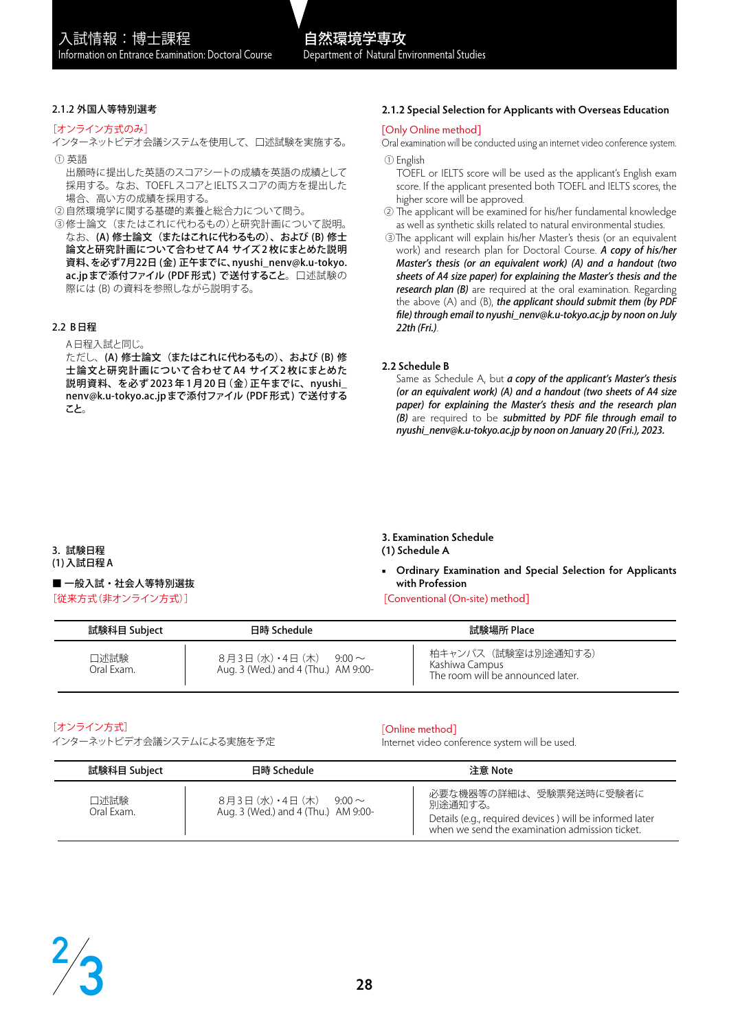## 2.1.2 外国人等特別選考

[オンライン方式のみ]

インターネットビデオ会議システムを使用して、口述試験を実施する。

- ① 英語
	- 出願時に提出した英語のスコアシートの成績を英語の成績として 採用する。なお、TOEFLスコアとIELTSスコアの両方を提出した 場合、高い方の成績を採用する。
- ②自然環境学に関する基礎的素養と総合力について問う。
- ③修士論文(またはこれに代わるもの)と研究計画について説明。 なお、(A) 修士論文 (またはこれに代わるもの)、および (B) 修士 論文と研究計画について合わせてA4 サイズ 2 枚にまとめた説明 資料、を必ず7月22日 (金) 正午までに、nyushi\_nenv@k.u-tokyo. ac.jpまで添付ファイル (PDF形式)で送付すること。口述試験の 際には (B) の資料を参照しながら説明する。

## 2.2 B日程

A日程入試と同じ。

ただし、(A) 修士論文(またはこれに代わるもの)、および (B) 修 士論文と研究計画について合わせて A4 サイズ 2 枚にまとめた 説明資料、を必ず 2023 年 1 月 20 日(金)正午までに、nyushi\_ nenv@k.u-tokyo.ac.jpまで添付ファイル (PDF 形式 ) で送付する こと。

## **2.1.2 Special Selection for Applicants with Overseas Education**

### [Only Online method]

Oral examination will be conducted using an internet video conference system. ① English

TOEFL or IELTS score will be used as the applicant's English exam score. If the applicant presented both TOEFL and IELTS scores, the higher score will be approved.

- ② The applicant will be examined for his/her fundamental knowledge as well as synthetic skills related to natural environmental studies.
- ③The applicant will explain his/her Master's thesis (or an equivalent work) and research plan for Doctoral Course. A copy of his/her Master's thesis (or an equivalent work) (A) and a handout (two sheets of A4 size paper) for explaining the Master's thesis and the research plan (B) are required at the oral examination. Regarding the above  $(A)$  and  $(B)$ , the applicant should submit them (by PDF file) through email to nyushi\_nenv@k.u-tokyo.ac.jp by noon on July 22th (Fri.).

### **2.2 Schedule B**

Same as Schedule A, but a copy of the applicant's Master's thesis (or an equivalent work) (A) and a handout (two sheets of A4 size paper) for explaining the Master's thesis and the research plan (B) are required to be submitted by PDF file through email to nyushi\_nenv@k.u-tokyo.ac.jp by noon on January 20 (Fri.), 2023.

3. 試験日程

(1)入試日程 A

■ 一般入試・社会人等特別選抜 [従来方式(非オンライン方式)]

#### **3. Examination Schedule (1) Schedule A**

- **■ Ordinary Examination and Special Selection for Applicants with Profession**
- [Conventional (On-site) method]

| 試験科目 Subject       | 日時 Schedule                                                           | 試験場所 Place                                                                |
|--------------------|-----------------------------------------------------------------------|---------------------------------------------------------------------------|
| 口述試験<br>Oral Exam. | 8月3日 (水)・4日 (木)<br>$9.00 \sim$<br>Aug. 3 (Wed.) and 4 (Thu.) AM 9:00- | 柏キャンパス(試験室は別途通知する)<br>Kashiwa Campus<br>The room will be announced later. |

# [オンライン方式]

インターネットビデオ会議システムによる実施を予定

# [Online method]

Internet video conference system will be used.

| 試験科目 Subject       | 日時 Schedule                                                           | 注意 Note                                                                                                                                        |
|--------------------|-----------------------------------------------------------------------|------------------------------------------------------------------------------------------------------------------------------------------------|
| 口述試験<br>Oral Exam. | 8月3日 (水)・4日 (木)<br>$9.00 \sim$<br>Aug. 3 (Wed.) and 4 (Thu.) AM 9:00- | 必要な機器等の詳細は、受験票発送時に受験者に<br>別涂通知する。<br>Details (e.g., required devices) will be informed later<br>when we send the examination admission ticket. |